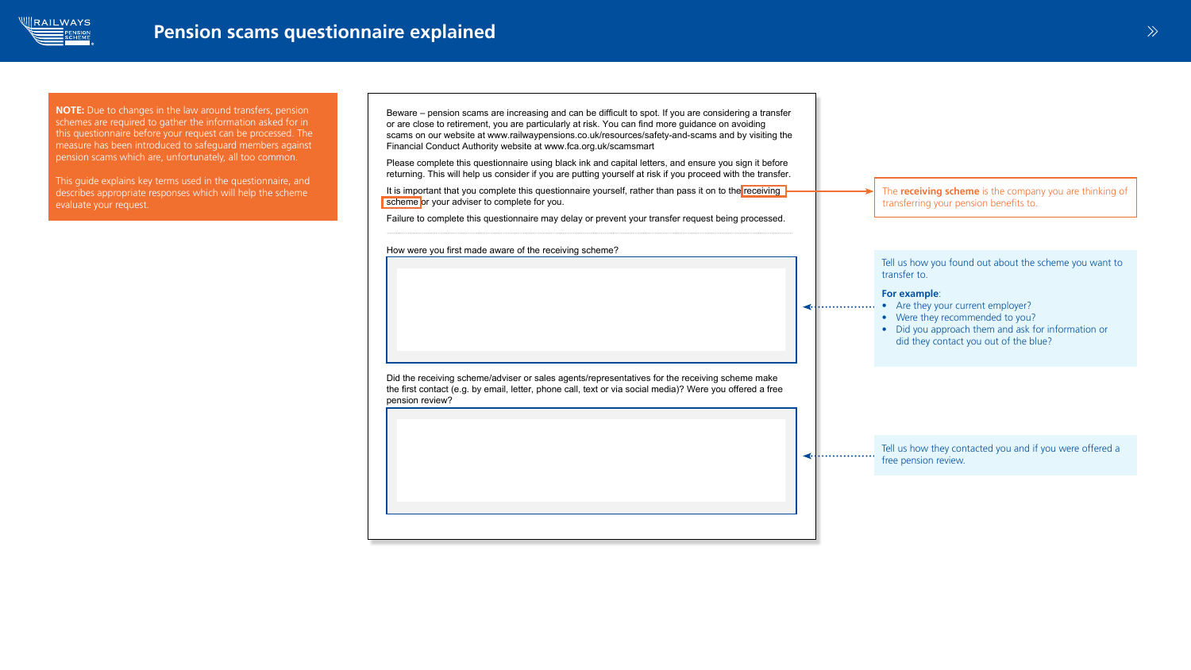**Member reference:** 293001048/00

scheme or your adviser to complete for you.

Financial Conduct Authority website at www.fca.org.uk/scamsmart







How were you first made aware of the receiving scheme?

pension review?

NOTE: Due to changes in the law around transfers, pension schemes are required to gather the information asked for in this questionnaire before your request can be processed. The measure has been introduced to safeguard members against pension scams which are, unfortunately, all too common.

This guide explains key terms used in the questionnaire, and describes appropriate responses which will help the scheme evaluate your request.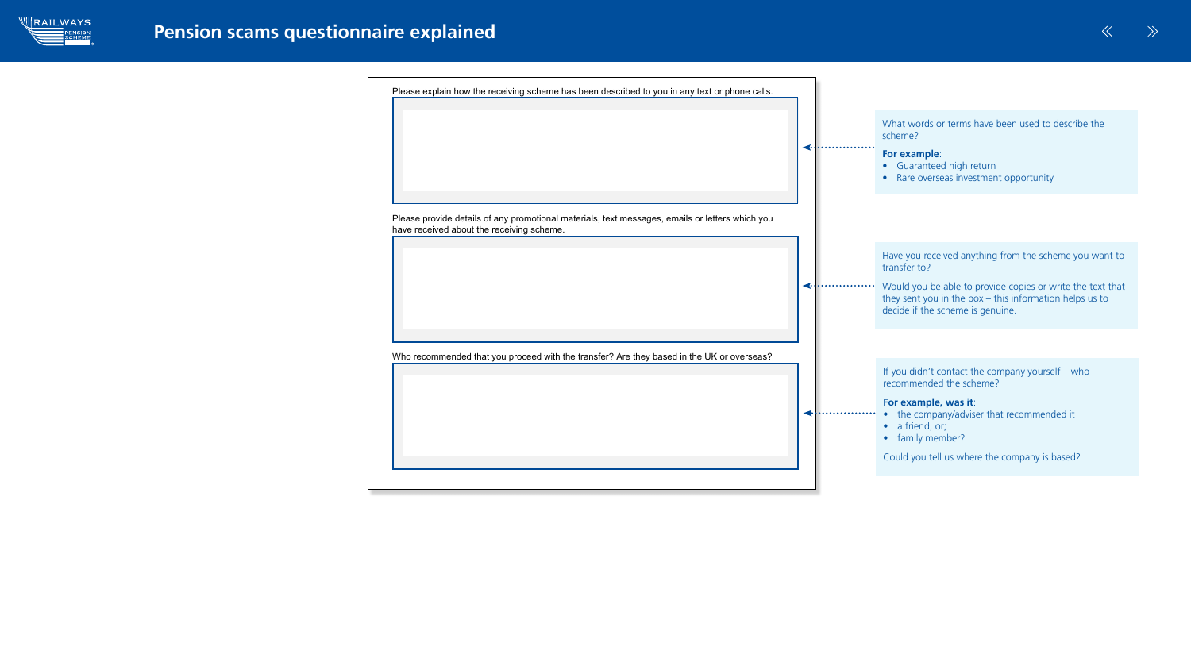have received about the receiving scheme.





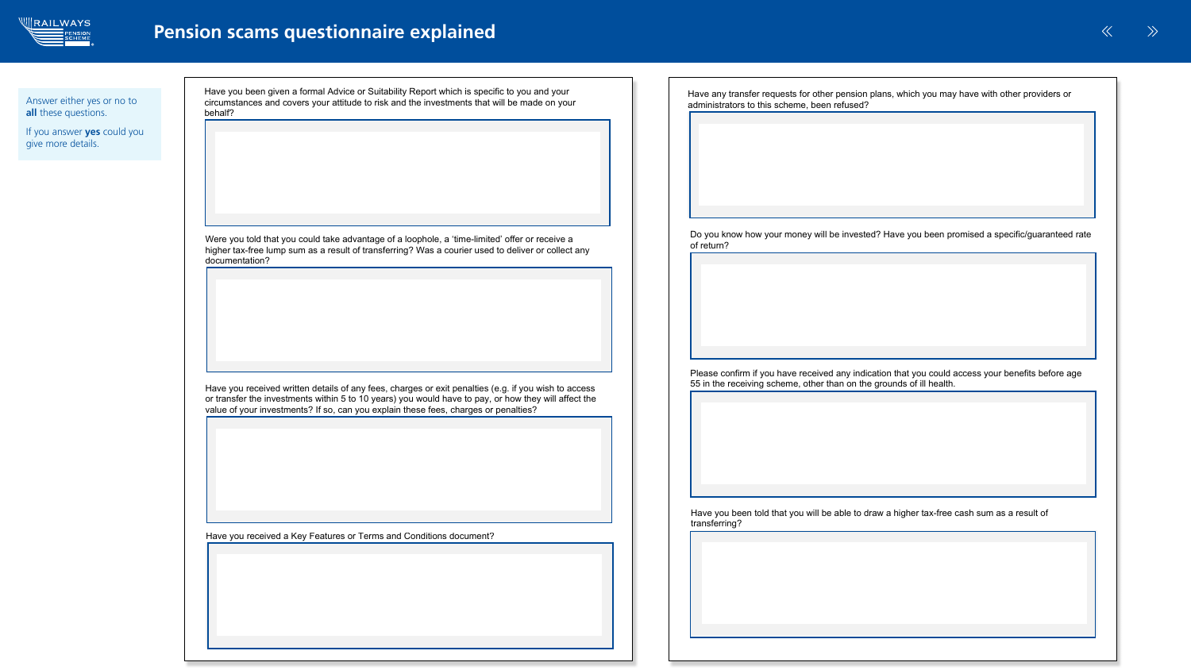

Answer either yes or no to all these questions.

If you answer **yes** could you give more details.

Have any transfer requests for other persion plans, which you may have with other persion plans, which or  $\alpha$ 

| Have you been given a formal Advice or Suitability Report which is specific to you and your<br>circumstances and covers your attitude to risk and the investments that will be made on your<br>behalf?       | Have any transfer requests for other pension plans, which you may have with other providers or<br>administrators to this scheme, been refused?                            |
|--------------------------------------------------------------------------------------------------------------------------------------------------------------------------------------------------------------|---------------------------------------------------------------------------------------------------------------------------------------------------------------------------|
| Were you told that you could take advantage of a loophole, a 'time-limited' offer or receive a                                                                                                               | Do you know how your money will be invested? Have you been promised a specific/guaranteed rate<br>of return?                                                              |
| higher tax-free lump sum as a result of transferring? Was a courier used to deliver or collect any<br>documentation?                                                                                         |                                                                                                                                                                           |
| Have you received written details of any fees, charges or exit penalties (e.g. if you wish to access<br>or transfer the investments within 5 to 10 years) you would have to pay, or how they will affect the | Please confirm if you have received any indication that you could access your benefits before age<br>55 in the receiving scheme, other than on the grounds of ill health. |
| value of your investments? If so, can you explain these fees, charges or penalties?                                                                                                                          |                                                                                                                                                                           |
| Have you received a Key Features or Terms and Conditions document?                                                                                                                                           | Have you been told that you will be able to draw a higher tax-free cash sum as a result of<br>transferring?                                                               |
|                                                                                                                                                                                                              |                                                                                                                                                                           |



its administrators as a result of transferring your benefits?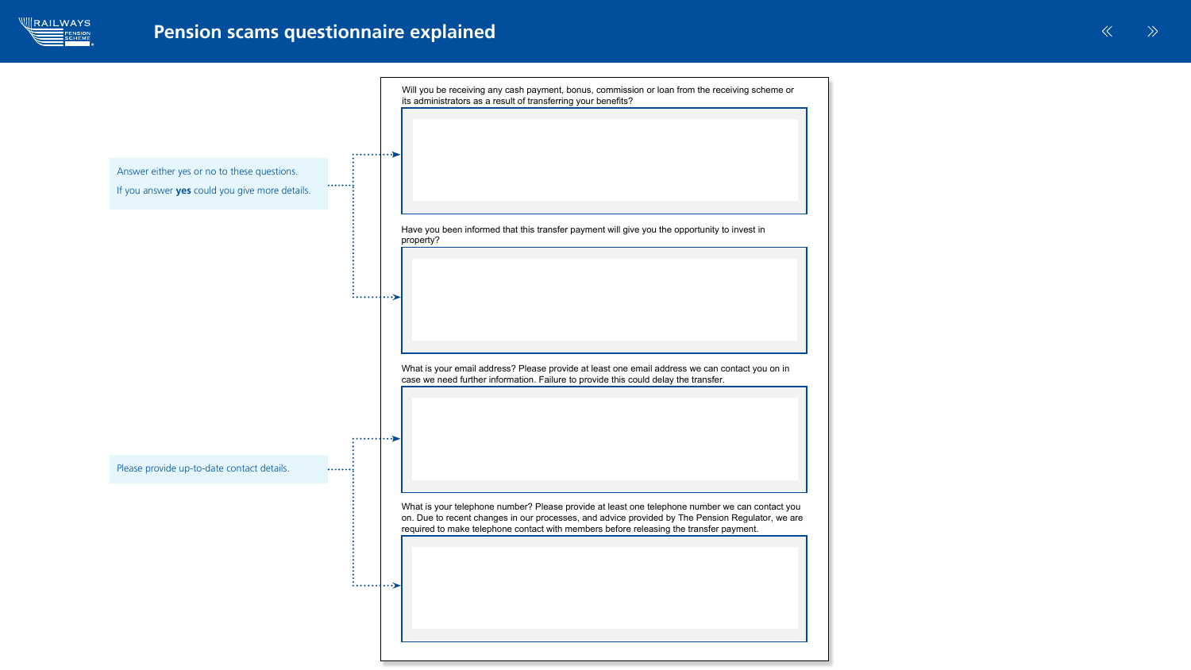

## Pension scams questionnaire explained

on. Due to recent changes in our processes, and advice provided by The Pension Regulator, we are What is your telephone number? Please provide at least one telephone number we can contact you required to make telephone contact with members before releasing the transfer payment.



What is your email address? Please provide at least one email address we can contact you on in

Will you be receiving any cash payment, bonus, commission or loan from the receiving scheme or Will you be receiving any cash payment, bonus, commission or loan from the receiving scheme or

Have you been informed that this transfer payment will give you the opportunity to invest in Have you been informed that this transfer payment will give you the opportunity to invest in